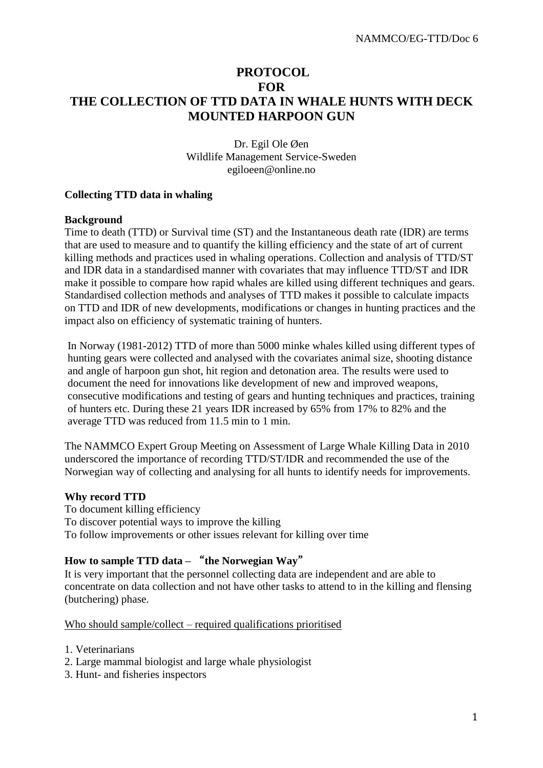## **PROTOCOL FOR THE COLLECTION OF TTD DATA IN WHALE HUNTS WITH DECK MOUNTED HARPOON GUN**

### Dr. Egil Ole Øen Wildlife Management Service-Sweden egiloeen@online.no

## **Collecting TTD data in whaling**

#### **Background**

Time to death (TTD) or Survival time (ST) and the Instantaneous death rate (IDR) are terms that are used to measure and to quantify the killing efficiency and the state of art of current killing methods and practices used in whaling operations. Collection and analysis of TTD/ST and IDR data in a standardised manner with covariates that may influence TTD/ST and IDR make it possible to compare how rapid whales are killed using different techniques and gears. Standardised collection methods and analyses of TTD makes it possible to calculate impacts on TTD and IDR of new developments, modifications or changes in hunting practices and the impact also on efficiency of systematic training of hunters.

In Norway (1981-2012) TTD of more than 5000 minke whales killed using different types of hunting gears were collected and analysed with the covariates animal size, shooting distance and angle of harpoon gun shot, hit region and detonation area. The results were used to document the need for innovations like development of new and improved weapons, consecutive modifications and testing of gears and hunting techniques and practices, training of hunters etc. During these 21 years IDR increased by 65% from 17% to 82% and the average TTD was reduced from 11.5 min to 1 min.

The NAMMCO Expert Group Meeting on Assessment of Large Whale Killing Data in 2010 underscored the importance of recording TTD/ST/IDR and recommended the use of the Norwegian way of collecting and analysing for all hunts to identify needs for improvements.

#### **Why record TTD**

To document killing efficiency To discover potential ways to improve the killing To follow improvements or other issues relevant for killing over time

## **How to sample TTD data –** "**the Norwegian Way**"

It is very important that the personnel collecting data are independent and are able to concentrate on data collection and not have other tasks to attend to in the killing and flensing (butchering) phase.

#### Who should sample/collect – required qualifications prioritised

- 1. Veterinarians
- 2. Large mammal biologist and large whale physiologist
- 3. Hunt- and fisheries inspectors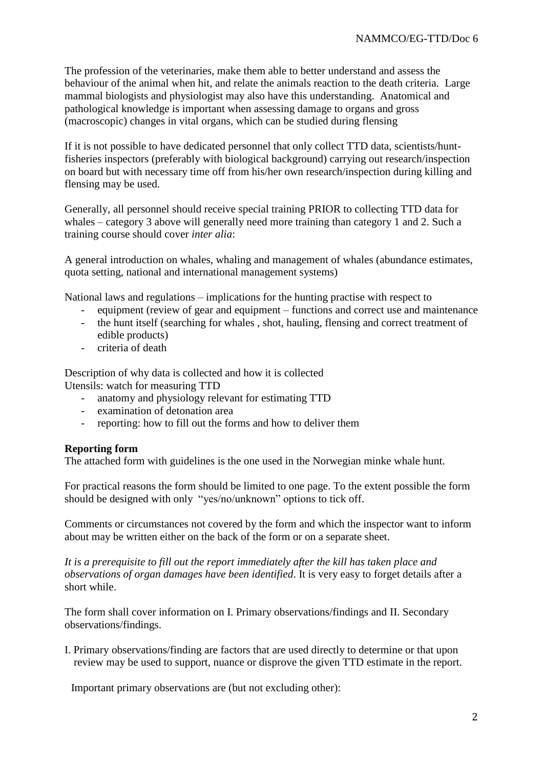The profession of the veterinaries, make them able to better understand and assess the behaviour of the animal when hit, and relate the animals reaction to the death criteria. Large mammal biologists and physiologist may also have this understanding. Anatomical and pathological knowledge is important when assessing damage to organs and gross (macroscopic) changes in vital organs, which can be studied during flensing

If it is not possible to have dedicated personnel that only collect TTD data, scientists/huntfisheries inspectors (preferably with biological background) carrying out research/inspection on board but with necessary time off from his/her own research/inspection during killing and flensing may be used.

Generally, all personnel should receive special training PRIOR to collecting TTD data for whales – category 3 above will generally need more training than category 1 and 2. Such a training course should cover *inter alia*:

A general introduction on whales, whaling and management of whales (abundance estimates, quota setting, national and international management systems)

National laws and regulations – implications for the hunting practise with respect to

- equipment (review of gear and equipment functions and correct use and maintenance
- the hunt itself (searching for whales , shot, hauling, flensing and correct treatment of edible products)
- criteria of death

Description of why data is collected and how it is collected Utensils: watch for measuring TTD

- anatomy and physiology relevant for estimating TTD
- examination of detonation area
- reporting: how to fill out the forms and how to deliver them

#### **Reporting form**

The attached form with guidelines is the one used in the Norwegian minke whale hunt.

For practical reasons the form should be limited to one page. To the extent possible the form should be designed with only "yes/no/unknown" options to tick off.

Comments or circumstances not covered by the form and which the inspector want to inform about may be written either on the back of the form or on a separate sheet.

*It is a prerequisite to fill out the report immediately after the kill has taken place and observations of organ damages have been identified*. It is very easy to forget details after a short while.

The form shall cover information on I. Primary observations/findings and II. Secondary observations/findings.

I. Primary observations/finding are factors that are used directly to determine or that upon review may be used to support, nuance or disprove the given TTD estimate in the report.

Important primary observations are (but not excluding other):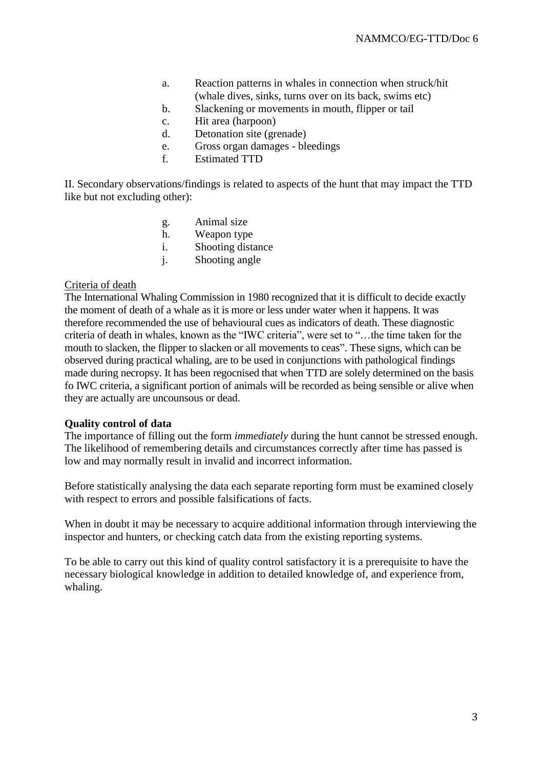- a. Reaction patterns in whales in connection when struck/hit (whale dives, sinks, turns over on its back, swims etc)
- b. Slackening or movements in mouth, flipper or tail
- c. Hit area (harpoon)
- d. Detonation site (grenade)
- e. Gross organ damages bleedings
- f. Estimated TTD

II. Secondary observations/findings is related to aspects of the hunt that may impact the TTD like but not excluding other):

- g. Animal size
- h. Weapon type
- i. Shooting distance
- j. Shooting angle

#### Criteria of death

The International Whaling Commission in 1980 recognized that it is difficult to decide exactly the moment of death of a whale as it is more or less under water when it happens. It was therefore recommended the use of behavioural cues as indicators of death. These diagnostic criteria of death in whales, known as the "IWC criteria", were set to "…the time taken for the mouth to slacken, the flipper to slacken or all movements to ceas". These signs, which can be observed during practical whaling, are to be used in conjunctions with pathological findings made during necropsy. It has been regocnised that when TTD are solely determined on the basis fo IWC criteria, a significant portion of animals will be recorded as being sensible or alive when they are actually are uncounsous or dead.

#### **Quality control of data**

The importance of filling out the form *immediately* during the hunt cannot be stressed enough. The likelihood of remembering details and circumstances correctly after time has passed is low and may normally result in invalid and incorrect information.

Before statistically analysing the data each separate reporting form must be examined closely with respect to errors and possible falsifications of facts.

When in doubt it may be necessary to acquire additional information through interviewing the inspector and hunters, or checking catch data from the existing reporting systems.

To be able to carry out this kind of quality control satisfactory it is a prerequisite to have the necessary biological knowledge in addition to detailed knowledge of, and experience from, whaling.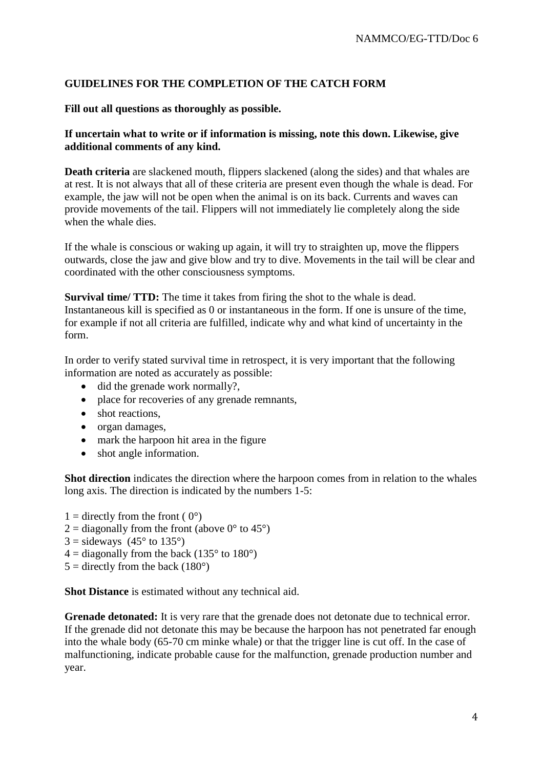## **GUIDELINES FOR THE COMPLETION OF THE CATCH FORM**

#### **Fill out all questions as thoroughly as possible.**

## **If uncertain what to write or if information is missing, note this down. Likewise, give additional comments of any kind.**

**Death criteria** are slackened mouth, flippers slackened (along the sides) and that whales are at rest. It is not always that all of these criteria are present even though the whale is dead. For example, the jaw will not be open when the animal is on its back. Currents and waves can provide movements of the tail. Flippers will not immediately lie completely along the side when the whale dies.

If the whale is conscious or waking up again, it will try to straighten up, move the flippers outwards, close the jaw and give blow and try to dive. Movements in the tail will be clear and coordinated with the other consciousness symptoms.

**Survival time/ TTD:** The time it takes from firing the shot to the whale is dead. Instantaneous kill is specified as 0 or instantaneous in the form. If one is unsure of the time, for example if not all criteria are fulfilled, indicate why and what kind of uncertainty in the form.

In order to verify stated survival time in retrospect, it is very important that the following information are noted as accurately as possible:

- did the grenade work normally?,
- place for recoveries of any grenade remnants,
- shot reactions,
- organ damages,
- mark the harpoon hit area in the figure
- shot angle information.

**Shot direction** indicates the direction where the harpoon comes from in relation to the whales long axis. The direction is indicated by the numbers 1-5:

- $1 =$  directly from the front ( $0^{\circ}$ )
- $2 =$  diagonally from the front (above 0 $\degree$  to 45 $\degree$ )
- $3 =$  sideways (45 $\degree$  to 135 $\degree$ )
- $4 =$  diagonally from the back (135 $\degree$  to 180 $\degree$ )
- $5 =$  directly from the back (180 $^{\circ}$ )

**Shot Distance** is estimated without any technical aid.

**Grenade detonated:** It is very rare that the grenade does not detonate due to technical error. If the grenade did not detonate this may be because the harpoon has not penetrated far enough into the whale body (65-70 cm minke whale) or that the trigger line is cut off. In the case of malfunctioning, indicate probable cause for the malfunction, grenade production number and year.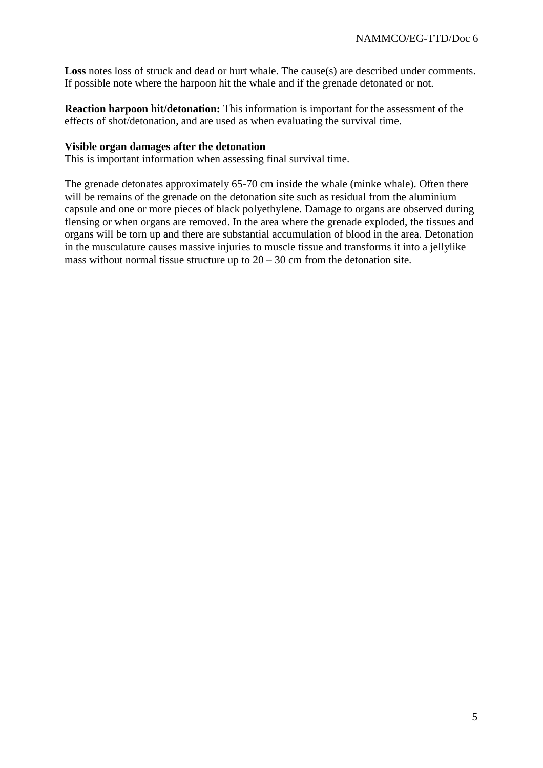Loss notes loss of struck and dead or hurt whale. The cause(s) are described under comments. If possible note where the harpoon hit the whale and if the grenade detonated or not.

**Reaction harpoon hit/detonation:** This information is important for the assessment of the effects of shot/detonation, and are used as when evaluating the survival time.

#### **Visible organ damages after the detonation**

This is important information when assessing final survival time.

The grenade detonates approximately 65-70 cm inside the whale (minke whale). Often there will be remains of the grenade on the detonation site such as residual from the aluminium capsule and one or more pieces of black polyethylene. Damage to organs are observed during flensing or when organs are removed. In the area where the grenade exploded, the tissues and organs will be torn up and there are substantial accumulation of blood in the area. Detonation in the musculature causes massive injuries to muscle tissue and transforms it into a jellylike mass without normal tissue structure up to  $20 - 30$  cm from the detonation site.